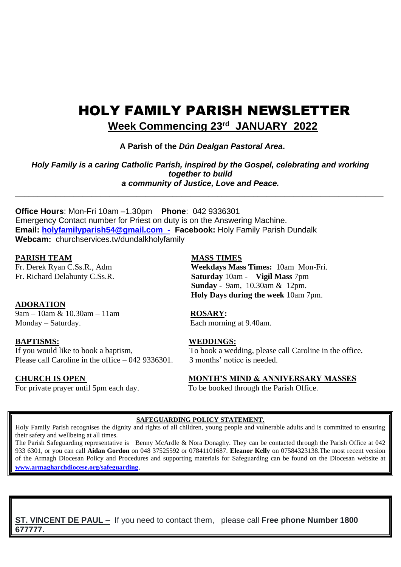# HOLY FAMILY PARISH NEWSLETTER  **Week Commencing 23rd JANUARY 2022**

 **A Parish of the** *Dún Dealgan Pastoral Area***.**

*Holy Family is a caring Catholic Parish, inspired by the Gospel, celebrating and working together to build a community of Justice, Love and Peace.*

\_\_\_\_\_\_\_\_\_\_\_\_\_\_\_\_\_\_\_\_\_\_\_\_\_\_\_\_\_\_\_\_\_\_\_\_\_\_\_\_\_\_\_\_\_\_\_\_\_\_\_\_\_\_\_\_\_\_\_\_\_\_\_\_\_\_\_\_\_\_\_\_\_\_\_\_\_\_\_\_\_\_

**Office Hours**: Mon-Fri 10am –1.30pm **Phone**: 042 9336301 Emergency Contact number for Priest on duty is on the Answering Machine. **Email: [holyfamilyparish54@gmail.com -](mailto:holyfamilyparish54@gmail.com%20%20-) Facebook:** Holy Family Parish Dundalk **Webcam:** churchservices.tv/dundalkholyfamily

# **PARISH TEAM MASS TIMES**

### **ADORATION**

9am – 10am & 10.30am – 11am **ROSARY:**  Monday – Saturday. Each morning at 9.40am.

Please call Caroline in the office  $-042,9336301$  3 months' notice is needed.

Fr. Derek Ryan C.Ss.R., Adm **Weekdays Mass Times:** 10am Mon-Fri. Fr. Richard Delahunty C.Ss.R. **Saturday** 10am **- Vigil Mass** 7pm  **Sunday -** 9am, 10.30am & 12pm. **Holy Days during the week** 10am 7pm.

### **BAPTISMS: WEDDINGS:**

If you would like to book a baptism, To book a wedding, please call Caroline in the office.

### **CHURCH IS OPEN MONTH'S MIND & ANNIVERSARY MASSES**

For private prayer until 5pm each day. To be booked through the Parish Office.

#### **SAFEGUARDING POLICY STATEMENT.**

Holy Family Parish recognises the dignity and rights of all children, young people and vulnerable adults and is committed to ensuring their safety and wellbeing at all times.

The Parish Safeguarding representative is Benny McArdle & Nora Donaghy. They can be contacted through the Parish Office at 042 933 6301, or you can call **Aidan Gordon** on 048 37525592 or 07841101687. **Eleanor Kelly** on 07584323138.The most recent version of the Armagh Diocesan Policy and Procedures and supporting materials for Safeguarding can be found on the Diocesan website at **[www.armagharchdiocese.org/safeguarding](http://www.armagharchdiocese.org/safeguarding)**.

**ST. VINCENT DE PAUL –** If you need to contact them, please call **Free phone Number 1800 677777.**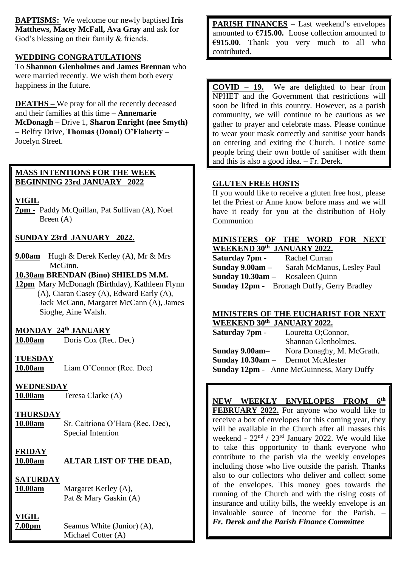**BAPTISMS:** We welcome our newly baptised **Iris Matthews, Macey McFall, Ava Gray** and ask for God's blessing on their family & friends.

## **WEDDING CONGRATULATIONS**

To **Shannon Glenholmes and James Brennan** who were married recently. We wish them both every happiness in the future.

**DEATHS –** We pray for all the recently deceased and their families at this time – **Annemarie McDonagh –** Drive 1, **Sharon Enright (nee Smyth) –** Belfry Drive, **Thomas (Donal) O'Flaherty –** Jocelyn Street.

# **MASS INTENTIONS FOR THE WEEK BEGINNING 23rd JANUARY 2022**

**VIGIL** 

**7pm -** Paddy McQuillan, Pat Sullivan (A), Noel Breen (A)

# **SUNDAY 23rd JANUARY 2022.**

**9.00am** Hugh & Derek Kerley (A), Mr & Mrs McGinn.

**10.30am BRENDAN (Bino) SHIELDS M.M.**

**12pm** Mary McDonagh (Birthday), Kathleen Flynn (A), Ciaran Casey (A), Edward Early (A), Jack McCann, Margaret McCann (A), James Sioghe, Aine Walsh.

# **MONDAY 24th JANUARY**

**10.00am** Doris Cox (Rec. Dec)

### **TUESDAY**

**10.00am** Liam O'Connor (Rec. Dec)

### **WEDNESDAY**

**10.00am** Teresa Clarke (A)

# **THURSDAY**

**10.00am** Sr. Caitriona O'Hara (Rec. Dec), Special Intention

**FRIDAY 10.00am ALTAR LIST OF THE DEAD,** 

# **SATURDAY**

**10.00am** Margaret Kerley (A), Pat & Mary Gaskin (A)

# **VIGIL**

**7.00pm** Seamus White (Junior) (A), Michael Cotter (A)

**PARISH FINANCES** – Last weekend's envelopes amounted to **€715.00.** Loose collection amounted to **€915.00**. Thank you very much to all who contributed.

**COVID – 19.** We are delighted to hear from NPHET and the Government that restrictions will soon be lifted in this country. However, as a parish community, we will continue to be cautious as we gather to prayer and celebrate mass. Please continue to wear your mask correctly and sanitise your hands on entering and exiting the Church. I notice some people bring their own bottle of sanitiser with them and this is also a good idea. – Fr. Derek.

## **GLUTEN FREE HOSTS**

If you would like to receive a gluten free host, please let the Priest or Anne know before mass and we will have it ready for you at the distribution of Holy **Communion** 

### **MINISTERS OF THE WORD FOR NEXT WEEKEND 30th JANUARY 2022.**

| Saturday 7pm -                         | Rachel Curran                                     |
|----------------------------------------|---------------------------------------------------|
| Sunday $9.00am -$                      | Sarah McManus, Lesley Paul                        |
| <b>Sunday 10.30am -</b> Rosaleen Quinn |                                                   |
|                                        | <b>Sunday 12pm -</b> Bronagh Duffy, Gerry Bradley |

#### **MINISTERS OF THE EUCHARIST FOR NEXT WEEKEND 30th JANUARY 2022.**

| Saturday 7pm -                                   | Louretta O;Connor,        |
|--------------------------------------------------|---------------------------|
|                                                  | Shannan Glenholmes.       |
| Sunday 9.00am-                                   | Nora Donaghy, M. McGrath. |
| Sunday 10.30am - Dermot McAlester                |                           |
| <b>Sunday 12pm -</b> Anne McGuinness, Mary Duffy |                           |

# **NEW WEEKLY ENVELOPES FROM 6th**

**FEBRUARY 2022.** For anyone who would like to receive a box of envelopes for this coming year, they will be available in the Church after all masses this weekend -  $22<sup>nd</sup> / 23<sup>rd</sup>$  January 2022. We would like to take this opportunity to thank everyone who contribute to the parish via the weekly envelopes including those who live outside the parish. Thanks also to our collectors who deliver and collect some of the envelopes. This money goes towards the running of the Church and with the rising costs of insurance and utility bills, the weekly envelope is an invaluable source of income for the Parish. – *Fr. Derek and the Parish Finance Committee*